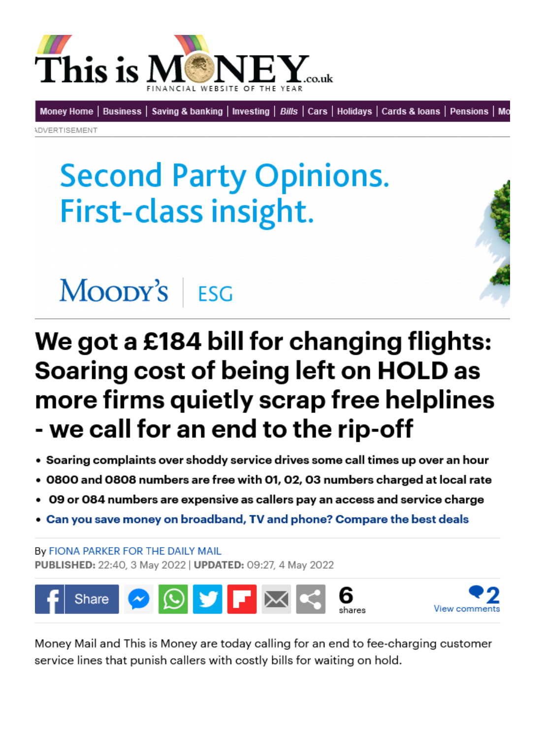

[Money Home](https://www.thisismoney.co.uk/money/index.html) | [Business](https://www.thisismoney.co.uk/money/markets/index.html) | [Saving & banking](https://www.thisismoney.co.uk/money/saving/index.html) | [Investing](https://www.thisismoney.co.uk/money/investing/index.html) | [Bills](https://www.thisismoney.co.uk/money/bills/index.html) | [Cars](https://www.thisismoney.co.uk/money/cars/index.html) | [Holidays](https://www.thisismoney.co.uk/money/holidays/index.html) | Cards & Ioans | [Pensions](https://www.thisismoney.co.uk/money/pensions/index.html) | Mo

Advertisement

# **Second Party Opinions.** First-class insight.



# MOODY'S ESG

## We got a £184 bill for changing flights: Soaring cost of being left on HOLD as more firms quietly scrap free helplines - we call for an end to the rip-off

- Soaring complaints over shoddy service drives some call times up over an hour
- 0800 and 0808 numbers are free with 01, 02, 03 numbers charged at local rate
- 09 or 084 numbers are expensive as callers pay an access and service charge
- [Can you save money on broadband, TV and phone? Compare the best deals](https://www.thisismoney.co.uk/broadband)

By [Fiona Parker For The Daily Mail](https://www.thisismoney.co.uk/home/search.html?s=&authornamef=Fiona+Parker+For+The+Daily+Mail)  Published: 22:40, 3 May 2022 | Updated: 09:27, 4 May 2022





Money Mail and This is Money are today calling for an end to fee-charging customer service lines that punish callers with costly bills for waiting on hold.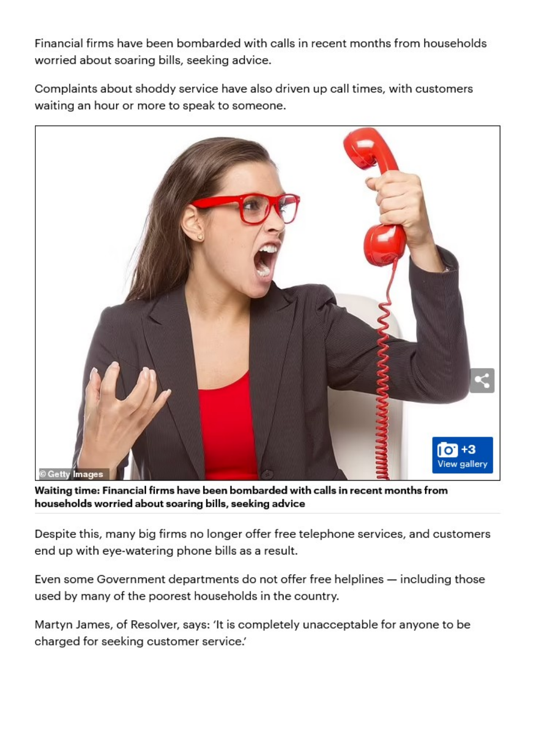Financial firms have been bombarded with calls in recent months from households worried about soaring bills, seeking advice.

Complaints about shoddy service have also driven up call times, with customers waiting an hour or more to speak to someone.



Waiting time: Financial firms have been bombarded with calls in recent months from households worried about soaring bills, seeking advice

Despite this, many big firms no longer offer free telephone services, and customers end up with eye-watering phone bills as a result.

Even some Government departments do not offer free helplines — including those used by many of the poorest households in the country.

Martyn James, of Resolver, says: 'It is completely unacceptable for anyone to be charged for seeking customer service.'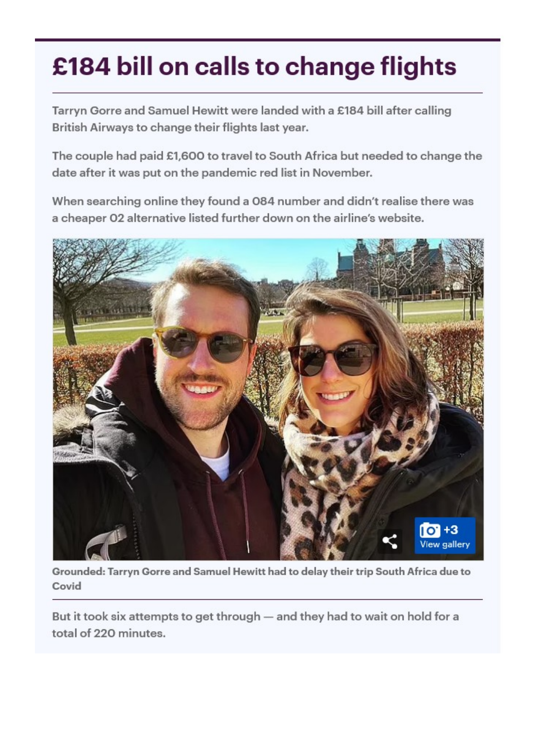## £184 bill on calls to change flights

Tarryn Gorre and Samuel Hewitt were landed with a £184 bill after calling British Airways to change their flights last year.

The couple had paid £1,600 to travel to South Africa but needed to change the date after it was put on the pandemic red list in November.

When searching online they found a 084 number and didn't realise there was a cheaper 02 alternative listed further down on the airline's website.



Grounded: Tarryn Gorre and Samuel Hewitt had to delay their trip South Africa due to Covid

But it took six attempts to get through — and they had to wait on hold for a total of 220 minutes.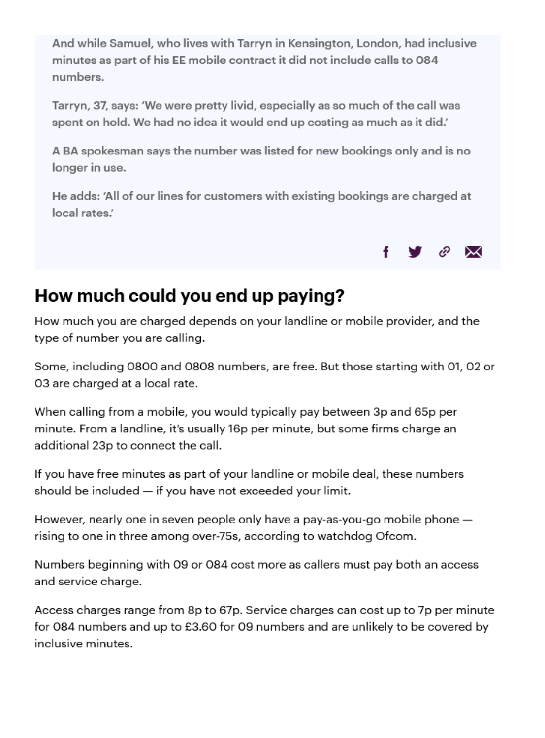And while Samuel, who lives with Tarryn in Kensington, London, had inclusive minutes as part of his EE mobile contract it did not include calls to 084 numbers.

Tarryn, 37, says: 'We were pretty livid, especially as so much of the call was spent on hold. We had no idea it would end up costing as much as it did.'

A BA spokesman says the number was listed for new bookings only and is no longer in use.

He adds: 'All of our lines for customers with existing bookings are charged at local rates.'



### How much could you end up paying?

How much you are charged depends on your landline or mobile provider, and the type of number you are calling.

Some, including 0800 and 0808 numbers, are free. But those starting with 01, 02 or 03 are charged at a local rate.

When calling from a mobile, you would typically pay between 3p and 65p per minute. From a landline, it's usually 16p per minute, but some firms charge an additional 23p to connect the call.

If you have free minutes as part of your landline or mobile deal, these numbers should be included — if you have not exceeded your limit.

However, nearly one in seven people only have a pay-as-you-go mobile phone rising to one in three among over-75s, according to watchdog Ofcom.

Numbers beginning with 09 or 084 cost more as callers must pay both an access and service charge.

Access charges range from 8p to 67p. Service charges can cost up to 7p per minute for 084 numbers and up to £3.60 for 09 numbers and are unlikely to be covered by inclusive minutes.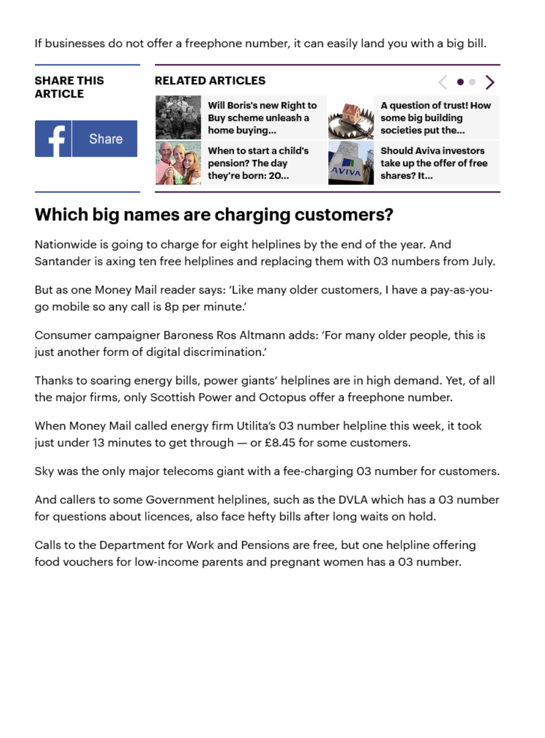If businesses do not offer a freephone number, it can easily land you with a big bill.

#### SHARE THIS RELATED ARTICLES article





Buy scheme unleash a some big building home buying... societies put the...

they're born: 20...  $\mathbb{Z}^{N}$  shares? It...



[Will Boris's new Right to](https://www.thisismoney.co.uk/money/mortgageshome/article-10778831/Will-Boriss-Right-Buy-scheme-unleash-revolution-like-Mrs-Ts.html) A question of trust! How



[When to start a child's](https://www.thisismoney.co.uk/money/pensions/article-10778953/When-start-childs-pension-day-theyre-born.html)  $\frac{1}{2}$  Should Aviva investors pension? The day take up the offer of free

#### Which big names are charging customers?

Nationwide is going to charge for eight helplines by the end of the year. And Santander is axing ten free helplines and replacing them with 03 numbers from July.

But as one Money Mail reader says: 'Like many older customers, I have a pay-as-yougo mobile so any call is 8p per minute.'

Consumer campaigner Baroness Ros Altmann adds: 'For many older people, this is just another form of digital discrimination.'

Thanks to soaring energy bills, power giants' helplines are in high demand. Yet, of all the major firms, only Scottish Power and Octopus offer a freephone number.

When Money Mail called energy firm Utilita's 03 number helpline this week, it took just under 13 minutes to get through — or £8.45 for some customers.

Sky was the only major telecoms giant with a fee-charging 03 number for customers.

And callers to some Government helplines, such as the DVLA which has a 03 number for questions about licences, also face hefty bills after long waits on hold.

Calls to the Department for Work and Pensions are free, but one helpline offering food vouchers for low‑income parents and pregnant women has a 03 number.